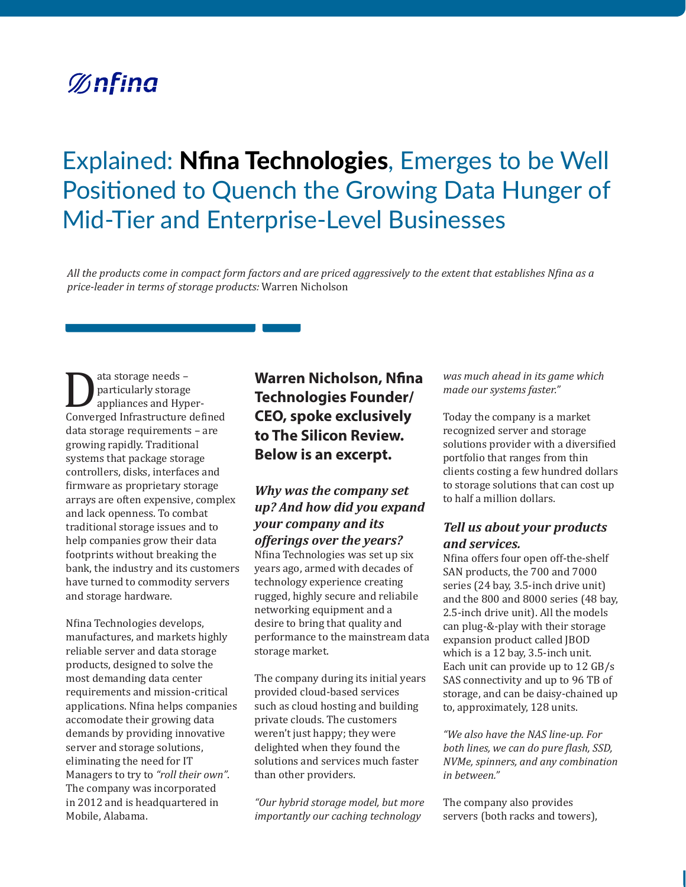# **%nfina**

# Explained: Nfina Technologies, Emerges to be Well Positioned to Quench the Growing Data Hunger of Mid-Tier and Enterprise-Level Businesses

*All the products come in compact form factors and are priced aggressively to the extent that establishes Nfina as a price-leader in terms of storage products:* Warren Nicholson

ata storage needs –<br>
particularly storage<br>
appliances and Hyper-<br>
Converged Infrastructure defined particularly storage appliances and Hyperdata storage requirements – are growing rapidly. Traditional systems that package storage controllers, disks, interfaces and firmware as proprietary storage arrays are often expensive, complex and lack openness. To combat traditional storage issues and to help companies grow their data footprints without breaking the bank, the industry and its customers have turned to commodity servers and storage hardware.

Nfina Technologies develops, manufactures, and markets highly reliable server and data storage products, designed to solve the most demanding data center requirements and mission-critical applications. Nfina helps companies accomodate their growing data demands by providing innovative server and storage solutions, eliminating the need for IT Managers to try to *"roll their own"*. The company was incorporated in 2012 and is headquartered in Mobile, Alabama.

# **Warren Nicholson, Nfina Technologies Founder/ CEO, spoke exclusively to The Silicon Review. Below is an excerpt.**

## *Why was the company set up? And how did you expand your company and its offerings over the years?*

Nfina Technologies was set up six years ago, armed with decades of technology experience creating rugged, highly secure and reliabile networking equipment and a desire to bring that quality and performance to the mainstream data storage market.

The company during its initial years provided cloud-based services such as cloud hosting and building private clouds. The customers weren't just happy; they were delighted when they found the solutions and services much faster than other providers.

*"Our hybrid storage model, but more importantly our caching technology* 

*was much ahead in its game which made our systems faster."*

Today the company is a market recognized server and storage solutions provider with a diversified portfolio that ranges from thin clients costing a few hundred dollars to storage solutions that can cost up to half a million dollars.

#### *Tell us about your products and services.*

Nfina offers four open off-the-shelf SAN products, the 700 and 7000 series (24 bay, 3.5-inch drive unit) and the 800 and 8000 series (48 bay, 2.5-inch drive unit). All the models can plug-&-play with their storage expansion product called JBOD which is a 12 bay, 3.5-inch unit. Each unit can provide up to 12 GB/s SAS connectivity and up to 96 TB of storage, and can be daisy-chained up to, approximately, 128 units.

*"We also have the NAS line-up. For both lines, we can do pure flash, SSD, NVMe, spinners, and any combination in between."* 

The company also provides servers (both racks and towers),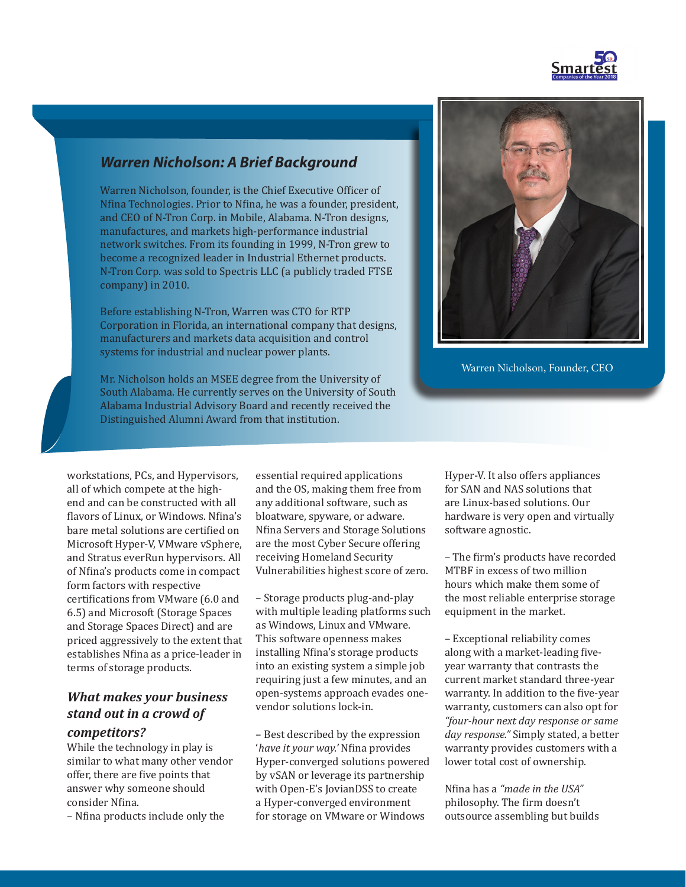

# *Warren Nicholson: A Brief Background*

Warren Nicholson, founder, is the Chief Executive Officer of Nfina Technologies. Prior to Nfina, he was a founder, president, and CEO of N-Tron Corp. in Mobile, Alabama. N-Tron designs, manufactures, and markets high-performance industrial network switches. From its founding in 1999, N-Tron grew to become a recognized leader in Industrial Ethernet products. N-Tron Corp. was sold to Spectris LLC (a publicly traded FTSE company) in 2010.

Before establishing N-Tron, Warren was CTO for RTP Corporation in Florida, an international company that designs, manufacturers and markets data acquisition and control systems for industrial and nuclear power plants.

Warren Nicholson, Founder, CEO

Mr. Nicholson holds an MSEE degree from the University of South Alabama. He currently serves on the University of South Alabama Industrial Advisory Board and recently received the Distinguished Alumni Award from that institution.

workstations, PCs, and Hypervisors, all of which compete at the highend and can be constructed with all flavors of Linux, or Windows. Nfina's bare metal solutions are certified on Microsoft Hyper-V, VMware vSphere, and Stratus everRun hypervisors. All of Nfina's products come in compact form factors with respective certifications from VMware (6.0 and 6.5) and Microsoft (Storage Spaces and Storage Spaces Direct) and are priced aggressively to the extent that establishes Nfina as a price-leader in terms of storage products.

# *What makes your business stand out in a crowd of*

#### *competitors?*

While the technology in play is similar to what many other vendor offer, there are five points that answer why someone should consider Nfina.

– Nfina products include only the

essential required applications and the OS, making them free from any additional software, such as bloatware, spyware, or adware. Nfina Servers and Storage Solutions are the most Cyber Secure offering receiving Homeland Security Vulnerabilities highest score of zero.

– Storage products plug-and-play with multiple leading platforms such as Windows, Linux and VMware. This software openness makes installing Nfina's storage products into an existing system a simple job requiring just a few minutes, and an open-systems approach evades onevendor solutions lock-in.

– Best described by the expression '*have it your way.'* Nfina provides Hyper-converged solutions powered by vSAN or leverage its partnership with Open-E's JovianDSS to create a Hyper-converged environment for storage on VMware or Windows

Hyper-V. It also offers appliances for SAN and NAS solutions that are Linux-based solutions. Our hardware is very open and virtually software agnostic.

– The firm's products have recorded MTBF in excess of two million hours which make them some of the most reliable enterprise storage equipment in the market.

– Exceptional reliability comes along with a market-leading fiveyear warranty that contrasts the current market standard three-year warranty. In addition to the five-year warranty, customers can also opt for *"four-hour next day response or same day response."* Simply stated, a better warranty provides customers with a lower total cost of ownership.

Nfina has a *"made in the USA"*  philosophy. The firm doesn't outsource assembling but builds